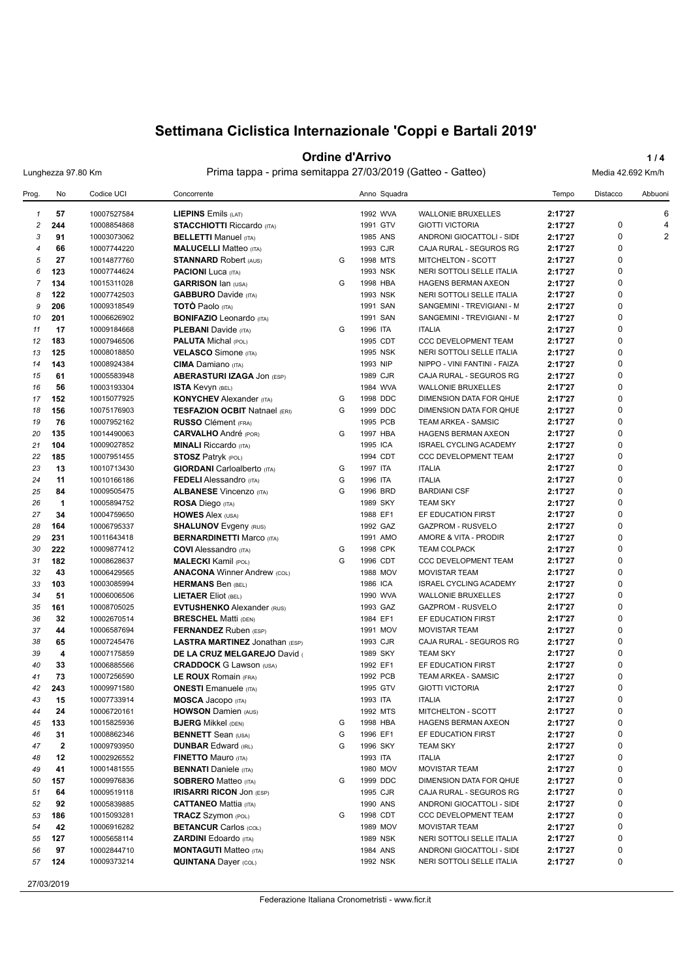### **Ordine d'Arrivo 1/4**

Lunghezza 97.80 Km Prima tappa - prima semitappa 27/03/2019 (Gatteo - Gatteo) Media 42.692 Km/h

| $\mathbf{1}$<br>244<br>$\overline{c}$<br>3<br>$\overline{4}$<br>5<br>123<br>6<br>$\overline{7}$<br>134<br>122<br>8<br>9<br>206<br>201<br>10<br>11<br>183<br>12<br>125<br>13<br>143<br>14<br>61<br>15<br>16 | 57<br>10007527584<br>10008854868<br>91<br>10003073062<br>66<br>10007744220<br>27<br>10014877760<br>10007744624<br>10015311028<br>10007742503<br>10009318549<br>10006626902<br>17<br>10009184668 | <b>LIEPINS</b> Emils $(LAT)$<br><b>STACCHIOTTI Riccardo (ITA)</b><br><b>BELLETTI Manuel (ITA)</b><br><b>MALUCELLI</b> Matteo (ITA)<br><b>STANNARD Robert (AUS)</b><br><b>PACIONI</b> Luca (ITA)<br><b>GARRISON Ian (USA)</b><br><b>GABBURO</b> Davide (ITA) | G<br>G | 1993 CJR | 1992 WVA<br>1991 GTV<br>1985 ANS | <b>WALLONIE BRUXELLES</b><br><b>GIOTTI VICTORIA</b><br>ANDRONI GIOCATTOLI - SIDE | 2:17'27<br>2:17'27<br>2:17'27 | 0           | 6<br>4 |
|------------------------------------------------------------------------------------------------------------------------------------------------------------------------------------------------------------|-------------------------------------------------------------------------------------------------------------------------------------------------------------------------------------------------|-------------------------------------------------------------------------------------------------------------------------------------------------------------------------------------------------------------------------------------------------------------|--------|----------|----------------------------------|----------------------------------------------------------------------------------|-------------------------------|-------------|--------|
|                                                                                                                                                                                                            |                                                                                                                                                                                                 |                                                                                                                                                                                                                                                             |        |          |                                  |                                                                                  |                               |             |        |
|                                                                                                                                                                                                            |                                                                                                                                                                                                 |                                                                                                                                                                                                                                                             |        |          |                                  |                                                                                  |                               |             |        |
|                                                                                                                                                                                                            |                                                                                                                                                                                                 |                                                                                                                                                                                                                                                             |        |          |                                  |                                                                                  |                               | 0           | 2      |
|                                                                                                                                                                                                            |                                                                                                                                                                                                 |                                                                                                                                                                                                                                                             |        |          |                                  | CAJA RURAL - SEGUROS RG                                                          | 2:17'27                       | $\mathbf 0$ |        |
|                                                                                                                                                                                                            |                                                                                                                                                                                                 |                                                                                                                                                                                                                                                             |        |          | 1998 MTS                         | MITCHELTON - SCOTT                                                               | 2:17'27                       | 0           |        |
|                                                                                                                                                                                                            |                                                                                                                                                                                                 |                                                                                                                                                                                                                                                             |        |          | 1993 NSK                         | NERI SOTTOLI SELLE ITALIA                                                        | 2:17'27                       | 0           |        |
|                                                                                                                                                                                                            |                                                                                                                                                                                                 |                                                                                                                                                                                                                                                             |        |          | 1998 HBA                         | HAGENS BERMAN AXEON                                                              | 2:17'27                       | $\mathbf 0$ |        |
|                                                                                                                                                                                                            |                                                                                                                                                                                                 |                                                                                                                                                                                                                                                             |        |          | 1993 NSK                         | NERI SOTTOLI SELLE ITALIA                                                        | 2:17'27                       | 0           |        |
|                                                                                                                                                                                                            |                                                                                                                                                                                                 | <b>TOTO Paolo</b> (ITA)                                                                                                                                                                                                                                     |        |          | 1991 SAN                         | SANGEMINI - TREVIGIANI - M                                                       | 2:17'27                       | 0           |        |
|                                                                                                                                                                                                            |                                                                                                                                                                                                 | <b>BONIFAZIO</b> Leonardo (ITA)                                                                                                                                                                                                                             |        |          | 1991 SAN                         | SANGEMINI - TREVIGIANI - M                                                       | 2:17'27                       | $\mathbf 0$ |        |
|                                                                                                                                                                                                            |                                                                                                                                                                                                 | <b>PLEBANI</b> Davide (ITA)                                                                                                                                                                                                                                 | G      | 1996 ITA |                                  | <b>ITALIA</b>                                                                    | 2:17'27                       | 0           |        |
|                                                                                                                                                                                                            | 10007946506                                                                                                                                                                                     | <b>PALUTA Michal (POL)</b>                                                                                                                                                                                                                                  |        |          | 1995 CDT                         | <b>CCC DEVELOPMENT TEAM</b>                                                      | 2:17'27                       | 0           |        |
|                                                                                                                                                                                                            |                                                                                                                                                                                                 |                                                                                                                                                                                                                                                             |        |          |                                  |                                                                                  |                               | 0           |        |
|                                                                                                                                                                                                            | 10008018850                                                                                                                                                                                     | <b>VELASCO</b> Simone (ITA)                                                                                                                                                                                                                                 |        |          | 1995 NSK                         | NERI SOTTOLI SELLE ITALIA                                                        | 2:17'27                       | 0           |        |
|                                                                                                                                                                                                            | 10008924384                                                                                                                                                                                     | <b>CIMA</b> Damiano (ITA)                                                                                                                                                                                                                                   |        | 1993 NIP |                                  | NIPPO - VINI FANTINI - FAIZA                                                     | 2:17'27                       |             |        |
|                                                                                                                                                                                                            | 10005583948                                                                                                                                                                                     | <b>ABERASTURI IZAGA JON (ESP)</b>                                                                                                                                                                                                                           |        |          | 1989 CJR                         | CAJA RURAL - SEGUROS RG                                                          | 2:17'27                       | 0           |        |
|                                                                                                                                                                                                            | 56<br>10003193304                                                                                                                                                                               | <b>ISTA Kevyn (BEL)</b>                                                                                                                                                                                                                                     |        |          | 1984 WVA                         | <b>WALLONIE BRUXELLES</b>                                                        | 2:17'27                       | $\mathbf 0$ |        |
| 152<br>17                                                                                                                                                                                                  | 10015077925                                                                                                                                                                                     | <b>KONYCHEV</b> Alexander (ITA)                                                                                                                                                                                                                             | G      |          | 1998 DDC                         | DIMENSION DATA FOR QHUE                                                          | 2:17'27                       | 0           |        |
| 156<br>18                                                                                                                                                                                                  | 10075176903                                                                                                                                                                                     | <b>TESFAZION OCBIT Natnael (ERI)</b>                                                                                                                                                                                                                        | G      |          | 1999 DDC                         | DIMENSION DATA FOR QHUE                                                          | 2:17'27                       | 0           |        |
| 19                                                                                                                                                                                                         | 76<br>10007952162                                                                                                                                                                               | <b>RUSSO</b> Clément (FRA)                                                                                                                                                                                                                                  |        |          | 1995 PCB                         | <b>TEAM ARKEA - SAMSIC</b>                                                       | 2:17'27                       | $\mathbf 0$ |        |
| 135<br>20                                                                                                                                                                                                  | 10014490063                                                                                                                                                                                     | <b>CARVALHO</b> André (POR)                                                                                                                                                                                                                                 | G      |          | 1997 HBA                         | HAGENS BERMAN AXEON                                                              | 2:17'27                       | $\mathbf 0$ |        |
| 21<br>104                                                                                                                                                                                                  | 10009027852                                                                                                                                                                                     | <b>MINALI</b> Riccardo (ITA)                                                                                                                                                                                                                                |        | 1995 ICA |                                  | ISRAEL CYCLING ACADEMY                                                           | 2:17'27                       | $\mathbf 0$ |        |
| 22<br>185                                                                                                                                                                                                  | 10007951455                                                                                                                                                                                     | <b>STOSZ Patryk (POL)</b>                                                                                                                                                                                                                                   |        |          | 1994 CDT                         | <b>CCC DEVELOPMENT TEAM</b>                                                      | 2:17'27                       | $\mathbf 0$ |        |
| 23                                                                                                                                                                                                         | 13<br>10010713430                                                                                                                                                                               | <b>GIORDANI</b> Carloalberto (ITA)                                                                                                                                                                                                                          | G      | 1997 ITA |                                  | <b>ITALIA</b>                                                                    | 2:17'27                       | 0           |        |
| 24                                                                                                                                                                                                         | 11<br>10010166186                                                                                                                                                                               | <b>FEDELI</b> Alessandro (ITA)                                                                                                                                                                                                                              | G      | 1996 ITA |                                  | <b>ITALIA</b>                                                                    | 2:17'27                       | 0           |        |
| 25                                                                                                                                                                                                         | 84<br>10009505475                                                                                                                                                                               | <b>ALBANESE Vincenzo (ITA)</b>                                                                                                                                                                                                                              | G      |          | 1996 BRD                         | <b>BARDIANI CSF</b>                                                              | 2:17'27                       | 0           |        |
| 26                                                                                                                                                                                                         | $\mathbf{1}$<br>10005894752                                                                                                                                                                     | ROSA Diego (ITA)                                                                                                                                                                                                                                            |        |          | 1989 SKY                         | <b>TEAM SKY</b>                                                                  | 2:17'27                       | 0           |        |
| 27                                                                                                                                                                                                         | 34<br>10004759650                                                                                                                                                                               | <b>HOWES Alex (USA)</b>                                                                                                                                                                                                                                     |        | 1988 EF1 |                                  | EF EDUCATION FIRST                                                               | 2:17'27                       | 0           |        |
| 28<br>164                                                                                                                                                                                                  | 10006795337                                                                                                                                                                                     | <b>SHALUNOV</b> Evgeny (RUS)                                                                                                                                                                                                                                |        |          | 1992 GAZ                         | <b>GAZPROM - RUSVELO</b>                                                         | 2:17'27                       | 0           |        |
| 29<br>231                                                                                                                                                                                                  | 10011643418                                                                                                                                                                                     | <b>BERNARDINETTI Marco (ITA)</b>                                                                                                                                                                                                                            |        |          | 1991 AMO                         | AMORE & VITA - PRODIR                                                            | 2:17'27                       | 0           |        |
| 222<br>30                                                                                                                                                                                                  | 10009877412                                                                                                                                                                                     | <b>COVI</b> Alessandro (ITA)                                                                                                                                                                                                                                | G      |          | 1998 CPK                         | <b>TEAM COLPACK</b>                                                              | 2:17'27                       | 0           |        |
| 182<br>31                                                                                                                                                                                                  | 10008628637                                                                                                                                                                                     | <b>MALECKI</b> Kamil (POL)                                                                                                                                                                                                                                  | G      |          | 1996 CDT                         | <b>CCC DEVELOPMENT TEAM</b>                                                      | 2:17'27                       | $\mathbf 0$ |        |
| 32                                                                                                                                                                                                         | 43<br>10006429565                                                                                                                                                                               | <b>ANACONA Winner Andrew (COL)</b>                                                                                                                                                                                                                          |        |          | 1988 MOV                         | <b>MOVISTAR TEAM</b>                                                             | 2:17'27                       | 0           |        |
| 103<br>33                                                                                                                                                                                                  | 10003085994                                                                                                                                                                                     | <b>HERMANS Ben (BEL)</b>                                                                                                                                                                                                                                    |        | 1986 ICA |                                  | <b>ISRAEL CYCLING ACADEMY</b>                                                    | 2:17'27                       | $\mathbf 0$ |        |
| 34                                                                                                                                                                                                         | 51<br>10006006506                                                                                                                                                                               | <b>LIETAER Eliot (BEL)</b>                                                                                                                                                                                                                                  |        |          | 1990 WVA                         | <b>WALLONIE BRUXELLES</b>                                                        | 2:17'27                       | $\mathbf 0$ |        |
| 35<br>161                                                                                                                                                                                                  | 10008705025                                                                                                                                                                                     | <b>EVTUSHENKO Alexander (RUS)</b>                                                                                                                                                                                                                           |        |          | 1993 GAZ                         | GAZPROM - RUSVELO                                                                | 2:17'27                       | 0           |        |
| 36                                                                                                                                                                                                         | 32<br>10002670514                                                                                                                                                                               | <b>BRESCHEL Matti (DEN)</b>                                                                                                                                                                                                                                 |        | 1984 EF1 |                                  | EF EDUCATION FIRST                                                               | 2:17'27                       | $\mathbf 0$ |        |
| 37                                                                                                                                                                                                         | 44<br>10006587694                                                                                                                                                                               | <b>FERNANDEZ</b> Ruben (ESP)                                                                                                                                                                                                                                |        |          | 1991 MOV                         | <b>MOVISTAR TEAM</b>                                                             | 2:17'27                       | $\mathbf 0$ |        |
|                                                                                                                                                                                                            | 65<br>10007245476                                                                                                                                                                               |                                                                                                                                                                                                                                                             |        |          | 1993 CJR                         | CAJA RURAL - SEGUROS RG                                                          | 2:17'27                       | 0           |        |
| 38<br>39                                                                                                                                                                                                   | 4                                                                                                                                                                                               | <b>LASTRA MARTINEZ Jonathan (ESP)</b>                                                                                                                                                                                                                       |        |          | 1989 SKY                         |                                                                                  |                               | $\mathbf 0$ |        |
|                                                                                                                                                                                                            | 10007175859                                                                                                                                                                                     | DE LA CRUZ MELGAREJO David                                                                                                                                                                                                                                  |        |          |                                  | <b>TEAM SKY</b>                                                                  | 2:17'27                       | 0           |        |
| 40                                                                                                                                                                                                         | 33<br>10006885566                                                                                                                                                                               | <b>CRADDOCK</b> G Lawson (USA)                                                                                                                                                                                                                              |        | 1992 EF1 |                                  | EF EDUCATION FIRST                                                               | 2:17'27                       |             |        |
| 41                                                                                                                                                                                                         | 73<br>10007256590                                                                                                                                                                               | LE ROUX Romain (FRA)                                                                                                                                                                                                                                        |        |          | 1992 PCB                         | <b>TEAM ARKEA - SAMSIC</b>                                                       | 2:17'27                       | 0           |        |
| 243<br>42                                                                                                                                                                                                  | 10009971580                                                                                                                                                                                     | <b>ONESTI</b> Emanuele (ITA)                                                                                                                                                                                                                                |        |          | 1995 GTV                         | <b>GIOTTI VICTORIA</b>                                                           | 2:17'27                       | $\mathbf 0$ |        |
| 43                                                                                                                                                                                                         | 15<br>10007733914                                                                                                                                                                               | <b>MOSCA Jacopo</b> (ITA)                                                                                                                                                                                                                                   |        | 1993 ITA |                                  | <b>ITALIA</b>                                                                    | 2:17'27                       | $\Omega$    |        |
| 44                                                                                                                                                                                                         | 24<br>10006720161                                                                                                                                                                               | <b>HOWSON Damien (AUS)</b>                                                                                                                                                                                                                                  |        |          | 1992 MTS                         | MITCHELTON - SCOTT                                                               | 2:17'27                       | 0           |        |
| 45<br>133                                                                                                                                                                                                  | 10015825936                                                                                                                                                                                     | <b>BJERG Mikkel (DEN)</b>                                                                                                                                                                                                                                   | G      |          | 1998 HBA                         | HAGENS BERMAN AXEON                                                              | 2:17'27                       | 0           |        |
| 46                                                                                                                                                                                                         | 31<br>10008862346                                                                                                                                                                               | <b>BENNETT</b> Sean (USA)                                                                                                                                                                                                                                   | G      | 1996 EF1 |                                  | EF EDUCATION FIRST                                                               | 2:17'27                       | 0           |        |
| 47                                                                                                                                                                                                         | 2<br>10009793950                                                                                                                                                                                | <b>DUNBAR Edward (IRL)</b>                                                                                                                                                                                                                                  | G      |          | 1996 SKY                         | <b>TEAM SKY</b>                                                                  | 2:17'27                       | 0           |        |
| 48                                                                                                                                                                                                         | 12<br>10002926552                                                                                                                                                                               | <b>FINETTO Mauro (ITA)</b>                                                                                                                                                                                                                                  |        | 1993 ITA |                                  | <b>ITALIA</b>                                                                    | 2:17'27                       | 0           |        |
| 49                                                                                                                                                                                                         | 41<br>10001481555                                                                                                                                                                               | <b>BENNATI</b> Daniele (ITA)                                                                                                                                                                                                                                |        |          | 1980 MOV                         | <b>MOVISTAR TEAM</b>                                                             | 2:17'27                       | 0           |        |
| 157<br>50                                                                                                                                                                                                  | 10009976836                                                                                                                                                                                     | <b>SOBRERO Matteo (ITA)</b>                                                                                                                                                                                                                                 | G      |          | 1999 DDC                         | DIMENSION DATA FOR QHUE                                                          | 2:17'27                       | 0           |        |
| 51                                                                                                                                                                                                         | 64<br>10009519118                                                                                                                                                                               | <b>IRISARRI RICON JON (ESP)</b>                                                                                                                                                                                                                             |        |          | 1995 CJR                         | CAJA RURAL - SEGUROS RG                                                          | 2:17'27                       | 0           |        |
| 52                                                                                                                                                                                                         | 92<br>10005839885                                                                                                                                                                               | <b>CATTANEO Mattia (ITA)</b>                                                                                                                                                                                                                                |        |          | 1990 ANS                         | ANDRONI GIOCATTOLI - SIDE                                                        | 2:17'27                       | 0           |        |
| 186<br>53                                                                                                                                                                                                  | 10015093281                                                                                                                                                                                     | <b>TRACZ</b> Szymon (POL)                                                                                                                                                                                                                                   | G      |          | 1998 CDT                         | CCC DEVELOPMENT TEAM                                                             | 2:17'27                       | 0           |        |
| 54                                                                                                                                                                                                         | 42<br>10006916282                                                                                                                                                                               | <b>BETANCUR Carlos (COL)</b>                                                                                                                                                                                                                                |        |          | 1989 MOV                         | <b>MOVISTAR TEAM</b>                                                             | 2:17'27                       | 0           |        |
| 127<br>55                                                                                                                                                                                                  | 10005658114                                                                                                                                                                                     | <b>ZARDINI</b> Edoardo (ITA)                                                                                                                                                                                                                                |        |          | 1989 NSK                         | NERI SOTTOLI SELLE ITALIA                                                        | 2:17'27                       | 0           |        |
| 56                                                                                                                                                                                                         | 97<br>10002844710                                                                                                                                                                               | <b>MONTAGUTI Matteo (ITA)</b>                                                                                                                                                                                                                               |        |          | 1984 ANS                         | ANDRONI GIOCATTOLI - SIDE                                                        | 2:17'27                       | 0           |        |
| 124<br>57                                                                                                                                                                                                  | 10009373214                                                                                                                                                                                     | <b>QUINTANA Dayer (COL)</b>                                                                                                                                                                                                                                 |        |          | 1992 NSK                         | NERI SOTTOLI SELLE ITALIA                                                        | 2:17'27                       | 0           |        |

27/03/2019

Federazione Italiana Cronometristi - www.ficr.it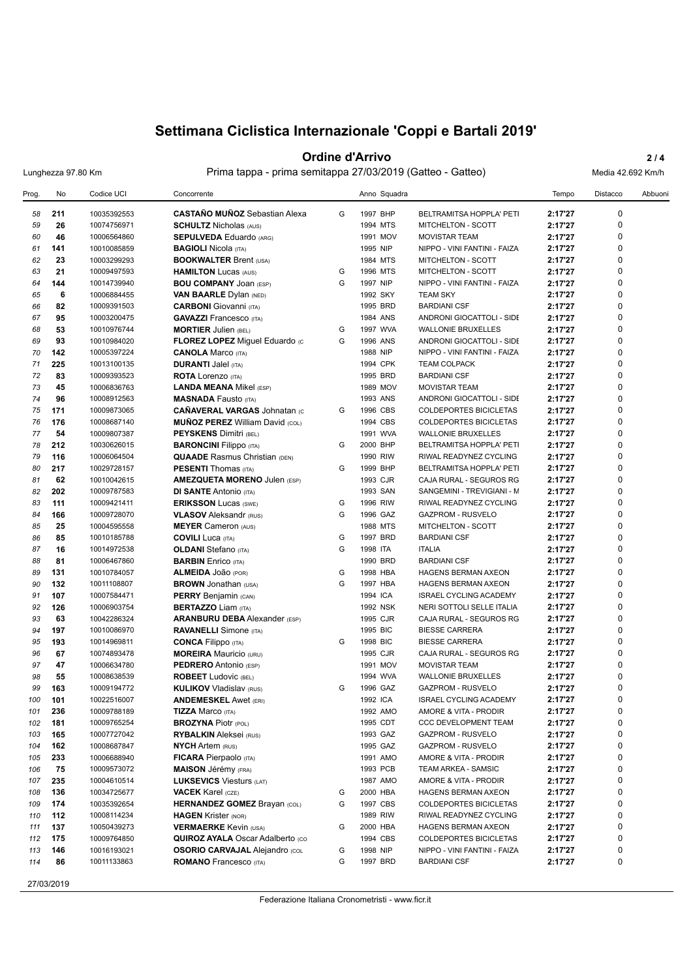### **Ordine d'Arrivo** 2/4

Lunghezza 97.80 Km Prima tappa - prima semitappa 27/03/2019 (Gatteo - Gatteo) Media 42.692 Km/h

| Prog. | No  | Codice UCI  | Concorrente                             |   | Anno Squadra |                               | Tempo   | Distacco    | Abbuoni |
|-------|-----|-------------|-----------------------------------------|---|--------------|-------------------------------|---------|-------------|---------|
| 58    | 211 | 10035392553 | <b>CASTAÑO MUÑOZ</b> Sebastian Alexa    | G | 1997 BHP     | BELTRAMITSA HOPPLA' PETI      | 2:17'27 | 0           |         |
| 59    | 26  | 10074756971 | <b>SCHULTZ Nicholas (AUS)</b>           |   | 1994 MTS     | <b>MITCHELTON - SCOTT</b>     | 2:17'27 | 0           |         |
| 60    | 46  | 10006564860 | <b>SEPULVEDA Eduardo (ARG)</b>          |   | 1991 MOV     | <b>MOVISTAR TEAM</b>          | 2:17'27 | 0           |         |
| 61    | 141 | 10010085859 | <b>BAGIOLI Nicola (ITA)</b>             |   | 1995 NIP     | NIPPO - VINI FANTINI - FAIZA  | 2:17'27 | 0           |         |
| 62    | 23  | 10003299293 | <b>BOOKWALTER Brent (USA)</b>           |   | 1984 MTS     | MITCHELTON - SCOTT            | 2:17'27 | $\mathbf 0$ |         |
| 63    | 21  | 10009497593 | <b>HAMILTON Lucas (AUS)</b>             | G | 1996 MTS     | MITCHELTON - SCOTT            | 2:17'27 | 0           |         |
| 64    | 144 | 10014739940 | <b>BOU COMPANY JOAN (ESP)</b>           | G | 1997 NIP     | NIPPO - VINI FANTINI - FAIZA  | 2:17'27 | 0           |         |
| 65    | 6   | 10006884455 | <b>VAN BAARLE Dylan (NED)</b>           |   | 1992 SKY     | <b>TEAM SKY</b>               | 2:17'27 | $\mathbf 0$ |         |
| 66    | 82  | 10009391503 | <b>CARBONI</b> Giovanni (ITA)           |   | 1995 BRD     | <b>BARDIANI CSF</b>           | 2:17'27 | 0           |         |
| 67    | 95  | 10003200475 | <b>GAVAZZI</b> Francesco (ITA)          |   | 1984 ANS     | ANDRONI GIOCATTOLI - SIDE     | 2:17'27 | 0           |         |
| 68    | 53  | 10010976744 | <b>MORTIER Julien (BEL)</b>             | G | 1997 WVA     | <b>WALLONIE BRUXELLES</b>     | 2:17'27 | $\mathbf 0$ |         |
| 69    | 93  | 10010984020 | FLOREZ LOPEZ Miguel Eduardo (c          | G | 1996 ANS     | ANDRONI GIOCATTOLI - SIDE     | 2:17'27 | $\mathbf 0$ |         |
| 70    | 142 | 10005397224 | <b>CANOLA Marco (ITA)</b>               |   | 1988 NIP     | NIPPO - VINI FANTINI - FAIZA  | 2:17'27 | 0           |         |
| 71    | 225 | 10013100135 | <b>DURANTI Jalel (ITA)</b>              |   | 1994 CPK     | <b>TEAM COLPACK</b>           | 2:17'27 | $\mathbf 0$ |         |
| 72    | 83  | 10009393523 | <b>ROTA</b> Lorenzo (ITA)               |   | 1995 BRD     | <b>BARDIANI CSF</b>           | 2:17'27 | 0           |         |
| 73    | 45  |             |                                         |   | 1989 MOV     |                               | 2:17'27 | 0           |         |
|       |     | 10006836763 | <b>LANDA MEANA Mikel (ESP)</b>          |   |              | <b>MOVISTAR TEAM</b>          |         | $\mathbf 0$ |         |
| 74    | 96  | 10008912563 | <b>MASNADA Fausto (ITA)</b>             |   | 1993 ANS     | ANDRONI GIOCATTOLI - SIDE     | 2:17'27 | $\mathbf 0$ |         |
| 75    | 171 | 10009873065 | <b>CAÑAVERAL VARGAS Johnatan (C</b>     | G | 1996 CBS     | <b>COLDEPORTES BICICLETAS</b> | 2:17'27 |             |         |
| 76    | 176 | 10008687140 | <b>MUÑOZ PEREZ William David (COL)</b>  |   | 1994 CBS     | COLDEPORTES BICICLETAS        | 2:17'27 | 0           |         |
| 77    | 54  | 10009807387 | <b>PEYSKENS Dimitri (BEL)</b>           |   | 1991 WVA     | <b>WALLONIE BRUXELLES</b>     | 2:17'27 | 0           |         |
| 78    | 212 | 10030626015 | <b>BARONCINI Filippo (ITA)</b>          | G | 2000 BHP     | BELTRAMITSA HOPPLA' PETI      | 2:17'27 | 0           |         |
| 79    | 116 | 10006064504 | <b>QUAADE</b> Rasmus Christian (DEN)    |   | 1990 RIW     | RIWAL READYNEZ CYCLING        | 2:17'27 | 0           |         |
| 80    | 217 | 10029728157 | <b>PESENTI</b> Thomas (ITA)             | G | 1999 BHP     | BELTRAMITSA HOPPLA' PETI      | 2:17'27 | 0           |         |
| 81    | 62  | 10010042615 | <b>AMEZQUETA MORENO Julen (ESP)</b>     |   | 1993 CJR     | CAJA RURAL - SEGUROS RG       | 2:17'27 | 0           |         |
| 82    | 202 | 10009787583 | <b>DI SANTE Antonio (ITA)</b>           |   | 1993 SAN     | SANGEMINI - TREVIGIANI - M    | 2:17'27 | 0           |         |
| 83    | 111 | 10009421411 | <b>ERIKSSON Lucas (SWE)</b>             | G | 1996 RIW     | RIWAL READYNEZ CYCLING        | 2:17'27 | $\mathbf 0$ |         |
| 84    | 166 | 10009728070 | <b>VLASOV</b> Aleksandr (RUS)           | G | 1996 GAZ     | GAZPROM - RUSVELO             | 2:17'27 | 0           |         |
| 85    | 25  | 10004595558 | <b>MEYER Cameron (AUS)</b>              |   | 1988 MTS     | MITCHELTON - SCOTT            | 2:17'27 | 0           |         |
| 86    | 85  | 10010185788 | <b>COVILI</b> Luca (ITA)                | G | 1997 BRD     | <b>BARDIANI CSF</b>           | 2:17'27 | $\mathbf 0$ |         |
| 87    | 16  | 10014972538 | <b>OLDANI</b> Stefano (ITA)             | G | 1998 ITA     | <b>ITALIA</b>                 | 2:17'27 | 0           |         |
| 88    | 81  | 10006467860 | <b>BARBIN</b> Enrico (ITA)              |   | 1990 BRD     | <b>BARDIANI CSF</b>           | 2:17'27 | $\mathbf 0$ |         |
| 89    | 131 | 10010784057 | ALMEIDA JOãO (POR)                      | G | 1998 HBA     | <b>HAGENS BERMAN AXEON</b>    | 2:17'27 | $\mathbf 0$ |         |
| 90    | 132 | 10011108807 | <b>BROWN</b> Jonathan (USA)             | G | 1997 HBA     | HAGENS BERMAN AXEON           | 2:17'27 | 0           |         |
| 91    | 107 | 10007584471 | <b>PERRY</b> Benjamin (CAN)             |   | 1994 ICA     | <b>ISRAEL CYCLING ACADEMY</b> | 2:17'27 | $\pmb{0}$   |         |
| 92    | 126 | 10006903754 | <b>BERTAZZO Liam (ITA)</b>              |   | 1992 NSK     | NERI SOTTOLI SELLE ITALIA     | 2:17'27 | $\mathbf 0$ |         |
| 93    | 63  | 10042286324 | <b>ARANBURU DEBA</b> Alexander (ESP)    |   | 1995 CJR     | CAJA RURAL - SEGUROS RG       | 2:17'27 | 0           |         |
| 94    | 197 | 10010086970 | <b>RAVANELLI</b> Simone (ITA)           |   | 1995 BIC     | <b>BIESSE CARRERA</b>         | 2:17'27 | $\pmb{0}$   |         |
| 95    | 193 | 10014969811 | <b>CONCA Filippo</b> (ITA)              | G | 1998 BIC     | <b>BIESSE CARRERA</b>         | 2:17'27 | $\mathbf 0$ |         |
| 96    | 67  | 10074893478 | <b>MOREIRA</b> Mauricio (URU)           |   | 1995 CJR     | CAJA RURAL - SEGUROS RG       | 2:17'27 | 0           |         |
| 97    | 47  | 10006634780 | <b>PEDRERO</b> Antonio (ESP)            |   | 1991 MOV     | <b>MOVISTAR TEAM</b>          | 2:17'27 | $\pmb{0}$   |         |
| 98    | 55  | 10008638539 | <b>ROBEET Ludovic (BEL)</b>             |   | 1994 WVA     | <b>WALLONIE BRUXELLES</b>     | 2:17'27 | 0           |         |
| 99    | 163 | 10009194772 | <b>KULIKOV Vladislav (RUS)</b>          | G | 1996 GAZ     | <b>GAZPROM - RUSVELO</b>      | 2:17'27 | 0           |         |
| 100   | 101 | 10022516007 | <b>ANDEMESKEL Awet (ERI)</b>            |   | 1992 ICA     | <b>ISRAEL CYCLING ACADEMY</b> | 2:17'27 | 0           |         |
| 101   | 236 | 10009788189 | <b>TIZZA Marco (ITA)</b>                |   | 1992 AMO     | AMORE & VITA - PRODIR         | 2:17'27 | 0           |         |
| 102   | 181 | 10009765254 | <b>BROZYNA Piotr (POL)</b>              |   | 1995 CDT     | CCC DEVELOPMENT TEAM          | 2:17'27 | 0           |         |
| 103   | 165 | 10007727042 | <b>RYBALKIN</b> Aleksei (RUS)           |   | 1993 GAZ     | GAZPROM - RUSVELO             | 2:17'27 | 0           |         |
| 104   | 162 | 10008687847 | <b>NYCH Artem (RUS)</b>                 |   | 1995 GAZ     | GAZPROM - RUSVELO             | 2:17'27 | 0           |         |
| 105   | 233 | 10006688940 | <b>FICARA</b> Pierpaolo (ITA)           |   | 1991 AMO     | AMORE & VITA - PRODIR         | 2:17'27 | 0           |         |
|       |     |             |                                         |   |              | TEAM ARKEA - SAMSIC           |         | 0           |         |
| 106   | 75  | 10009573072 | <b>MAISON Jérémy (FRA)</b>              |   | 1993 PCB     |                               | 2:17'27 | 0           |         |
| 107   | 235 | 10004610514 | <b>LUKSEVICS Viesturs (LAT)</b>         |   | 1987 AMO     | AMORE & VITA - PRODIR         | 2:17'27 |             |         |
| 108   | 136 | 10034725677 | <b>VACEK Karel (CZE)</b>                | G | 2000 HBA     | HAGENS BERMAN AXEON           | 2:17'27 | 0           |         |
| 109   | 174 | 10035392654 | <b>HERNANDEZ GOMEZ Brayan (COL)</b>     | G | 1997 CBS     | <b>COLDEPORTES BICICLETAS</b> | 2:17'27 | 0           |         |
| 110   | 112 | 10008114234 | <b>HAGEN</b> Krister (NOR)              |   | 1989 RIW     | RIWAL READYNEZ CYCLING        | 2:17'27 | 0           |         |
| 111   | 137 | 10050439273 | <b>VERMAERKE Kevin (USA)</b>            | G | 2000 HBA     | HAGENS BERMAN AXEON           | 2:17'27 | 0           |         |
| 112   | 175 | 10009764850 | <b>QUIROZ AYALA Oscar Adalberto (CO</b> |   | 1994 CBS     | COLDEPORTES BICICLETAS        | 2:17'27 | 0           |         |
| 113   | 146 | 10016193021 | <b>OSORIO CARVAJAL Alejandro (COL</b>   | G | 1998 NIP     | NIPPO - VINI FANTINI - FAIZA  | 2:17'27 | 0           |         |
| 114   | 86  | 10011133863 | <b>ROMANO</b> Francesco (ITA)           | G | 1997 BRD     | <b>BARDIANI CSF</b>           | 2:17'27 | 0           |         |
|       |     |             |                                         |   |              |                               |         |             |         |

27/03/2019

Federazione Italiana Cronometristi - www.ficr.it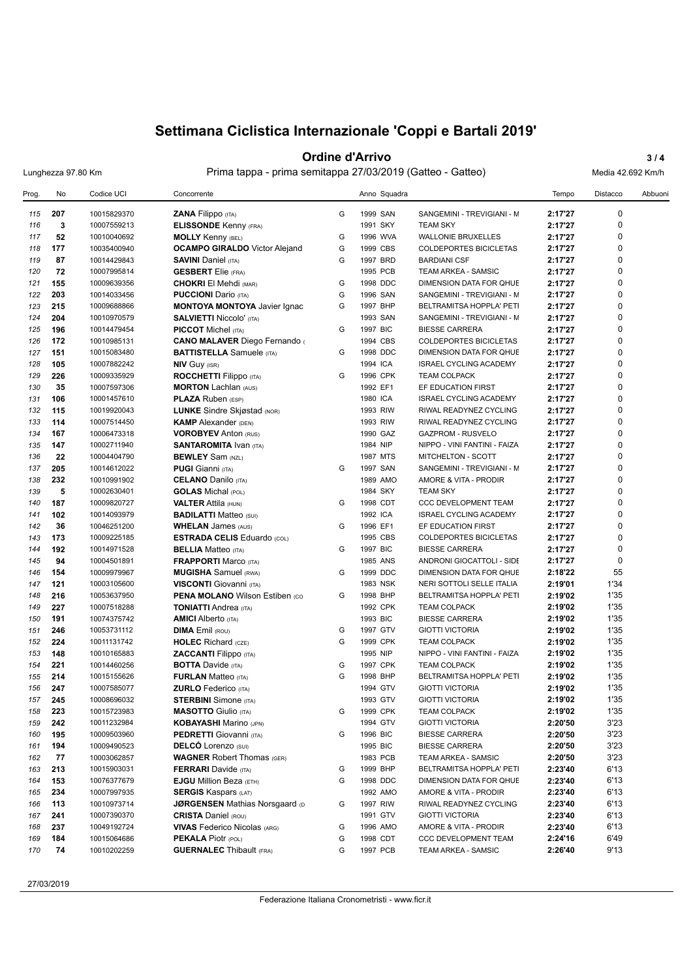### **Ordine d'Arrivo** 3/4

Lunghezza 97.80 Km Prima tappa - prima semitappa 27/03/2019 (Gatteo - Gatteo) Media 42.692 Km/h

| Prog. | No  | Codice UCI  | Concorrente                            |   | Anno Squadra |                               | Tempo   | Distacco    | Abbuoni |
|-------|-----|-------------|----------------------------------------|---|--------------|-------------------------------|---------|-------------|---------|
| 115   | 207 | 10015829370 | ZANA Filippo (ITA)                     | G | 1999 SAN     | SANGEMINI - TREVIGIANI - M    | 2:17'27 | 0           |         |
| 116   | 3   | 10007559213 | <b>ELISSONDE Kenny (FRA)</b>           |   | 1991 SKY     | <b>TEAM SKY</b>               | 2:17'27 | 0           |         |
| 117   | 52  | 10010040692 | <b>MOLLY</b> Kenny (BEL)               | G | 1996 WVA     | <b>WALLONIE BRUXELLES</b>     | 2:17'27 | $\mathbf 0$ |         |
| 118   | 177 | 10035400940 | <b>OCAMPO GIRALDO</b> Victor Alejand   | G | 1999 CBS     | <b>COLDEPORTES BICICLETAS</b> | 2:17'27 | 0           |         |
| 119   | 87  | 10014429843 | <b>SAVINI Daniel (ITA)</b>             | G | 1997 BRD     | <b>BARDIANI CSF</b>           | 2:17'27 | 0           |         |
| 120   | 72  | 10007995814 | <b>GESBERT</b> Elie (FRA)              |   | 1995 PCB     | TEAM ARKEA - SAMSIC           | 2:17'27 | $\mathbf 0$ |         |
| 121   | 155 | 10009639356 | <b>CHOKRI El Mehdi (MAR)</b>           | G | 1998 DDC     | DIMENSION DATA FOR QHUE       | 2:17'27 | 0           |         |
| 122   | 203 | 10014033456 | <b>PUCCIONI</b> Dario (ITA)            | G | 1996 SAN     | SANGEMINI - TREVIGIANI - M    | 2:17'27 | $\pmb{0}$   |         |
| 123   | 215 | 10009688866 | <b>MONTOYA MONTOYA</b> Javier Ignac    | G | 1997 BHP     | BELTRAMITSA HOPPLA' PETI      | 2:17'27 | $\mathbf 0$ |         |
| 124   | 204 | 10010970579 | <b>SALVIETTI Niccolo' (ITA)</b>        |   | 1993 SAN     | SANGEMINI - TREVIGIANI - M    | 2:17'27 | 0           |         |
| 125   | 196 | 10014479454 | <b>PICCOT</b> Michel (ITA)             | G | 1997 BIC     | <b>BIESSE CARRERA</b>         | 2:17'27 | 0           |         |
| 126   | 172 | 10010985131 | <b>CANO MALAVER Diego Fernando (</b>   |   | 1994 CBS     | COLDEPORTES BICICLETAS        | 2:17'27 | $\mathbf 0$ |         |
| 127   | 151 | 10015083480 | <b>BATTISTELLA</b> Samuele (ITA)       | G | 1998 DDC     | DIMENSION DATA FOR QHUE       | 2:17'27 | 0           |         |
| 128   | 105 | 10007882242 | <b>NIV Guy (ISR)</b>                   |   | 1994 ICA     | <b>ISRAEL CYCLING ACADEMY</b> | 2:17'27 | 0           |         |
| 129   | 226 | 10009335929 | <b>ROCCHETTI Filippo</b> (ITA)         | G | 1996 CPK     | <b>TEAM COLPACK</b>           | 2:17'27 | 0           |         |
| 130   | 35  | 10007597306 | <b>MORTON Lachlan (AUS)</b>            |   | 1992 EF1     | EF EDUCATION FIRST            | 2:17'27 | 0           |         |
| 131   | 106 | 10001457610 | <b>PLAZA Ruben (ESP)</b>               |   | 1980 ICA     | <b>ISRAEL CYCLING ACADEMY</b> | 2:17'27 | $\mathbf 0$ |         |
| 132   | 115 | 10019920043 | <b>LUNKE</b> Sindre Skjøstad (NOR)     |   | 1993 RIW     | RIWAL READYNEZ CYCLING        | 2:17'27 | 0           |         |
| 133   | 114 | 10007514450 | <b>KAMP</b> Alexander (DEN)            |   | 1993 RIW     | RIWAL READYNEZ CYCLING        | 2:17'27 | 0           |         |
| 134   | 167 | 10006473318 | <b>VOROBYEV Anton (RUS)</b>            |   | 1990 GAZ     | <b>GAZPROM - RUSVELO</b>      | 2:17'27 | $\mathbf 0$ |         |
| 135   | 147 | 10002711940 | <b>SANTAROMITA Ivan (ITA)</b>          |   | 1984 NIP     | NIPPO - VINI FANTINI - FAIZA  | 2:17'27 | 0           |         |
| 136   | 22  | 10004404790 | <b>BEWLEY</b> Sam (NZL)                |   | 1987 MTS     | <b>MITCHELTON - SCOTT</b>     | 2:17'27 | 0           |         |
| 137   | 205 | 10014612022 | <b>PUGI Gianni</b> (ITA)               | G | 1997 SAN     | SANGEMINI - TREVIGIANI - M    | 2:17'27 | $\mathbf 0$ |         |
| 138   | 232 | 10010991902 | <b>CELANO Danilo (ITA)</b>             |   | 1989 AMO     | AMORE & VITA - PRODIR         | 2:17'27 | 0           |         |
| 139   | 5   | 10002630401 | <b>GOLAS</b> Michal (POL)              |   | 1984 SKY     | <b>TEAM SKY</b>               | 2:17'27 | 0           |         |
| 140   | 187 | 10009820727 | <b>VALTER Attila (HUN)</b>             | G | 1998 CDT     | <b>CCC DEVELOPMENT TEAM</b>   | 2:17'27 | 0           |         |
| 141   | 102 | 10014093979 | <b>BADILATTI Matteo (SUI)</b>          |   | 1992 ICA     | <b>ISRAEL CYCLING ACADEMY</b> | 2:17'27 | 0           |         |
| 142   | 36  | 10046251200 | <b>WHELAN James (AUS)</b>              | G | 1996 EF1     | EF EDUCATION FIRST            | 2:17'27 | 0           |         |
| 143   | 173 | 10009225185 | <b>ESTRADA CELIS Eduardo (COL)</b>     |   | 1995 CBS     | COLDEPORTES BICICLETAS        | 2:17'27 | $\mathbf 0$ |         |
| 144   | 192 | 10014971528 | <b>BELLIA</b> Matteo (ITA)             | G | 1997 BIC     | <b>BIESSE CARRERA</b>         | 2:17'27 | 0           |         |
| 145   | 94  | 10004501891 | <b>FRAPPORTI Marco (ITA)</b>           |   | 1985 ANS     | ANDRONI GIOCATTOLI - SIDE     | 2:17'27 | $\mathbf 0$ |         |
| 146   | 154 | 10009979967 | <b>MUGISHA</b> Samuel (RWA)            | G | 1999 DDC     | DIMENSION DATA FOR QHUE       | 2:18'22 | 55          |         |
| 147   | 121 | 10003105600 | <b>VISCONTI</b> Giovanni (ITA)         |   | 1983 NSK     | NERI SOTTOLI SELLE ITALIA     | 2:19'01 | 1'34        |         |
| 148   | 216 | 10053637950 | <b>PENA MOLANO Wilson Estiben (CO)</b> | G | 1998 BHP     | BELTRAMITSA HOPPLA' PETI      | 2:19'02 | 1'35        |         |
| 149   | 227 | 10007518288 | <b>TONIATTI Andrea</b> (ITA)           |   | 1992 CPK     | <b>TEAM COLPACK</b>           | 2:19'02 | 1'35        |         |
| 150   | 191 | 10074375742 | <b>AMICI</b> Alberto (ITA)             |   | 1993 BIC     | <b>BIESSE CARRERA</b>         | 2:19'02 | 1'35        |         |
| 151   | 246 | 10053731112 | <b>DIMA</b> Emil (ROU)                 | G | 1997 GTV     | <b>GIOTTI VICTORIA</b>        | 2:19'02 | 1'35        |         |
| 152   | 224 | 10011131742 | <b>HOLEC</b> Richard (CZE)             | G | 1999 CPK     | <b>TEAM COLPACK</b>           | 2:19'02 | 1'35        |         |
| 153   | 148 | 10010165883 | <b>ZACCANTI</b> Filippo (ITA)          |   | 1995 NIP     | NIPPO - VINI FANTINI - FAIZA  | 2:19'02 | 1'35        |         |
| 154   | 221 | 10014460256 | <b>BOTTA</b> Davide (ITA)              | G | 1997 CPK     | <b>TEAM COLPACK</b>           | 2:19'02 | 1'35        |         |
| 155   | 214 | 10015155626 | <b>FURLAN Matteo (ITA)</b>             | G | 1998 BHP     | BELTRAMITSA HOPPLA' PETI      | 2:19'02 | 1'35        |         |
| 156   | 247 | 10007585077 | <b>ZURLO</b> Federico (ITA)            |   | 1994 GTV     | <b>GIOTTI VICTORIA</b>        | 2:19'02 | 1'35        |         |
| 157   | 245 | 10008696032 | <b>STERBINI</b> Simone (ITA)           |   | 1993 GTV     | <b>GIOTTI VICTORIA</b>        | 2:19'02 | 1'35        |         |
| 158   | 223 | 10015723983 | <b>MASOTTO</b> Giulio (ITA)            | G | 1999 CPK     | <b>TEAM COLPACK</b>           | 2:19'02 | 1'35        |         |
| 159   | 242 | 10011232984 | <b>KOBAYASHI</b> Marino (JPN)          |   | 1994 GTV     | <b>GIOTTI VICTORIA</b>        | 2:20'50 | 3'23        |         |
| 160   | 195 | 10009503960 | PEDRETTI Giovanni (ITA)                | G | 1996 BIC     | <b>BIESSE CARRERA</b>         | 2:20'50 | 3'23        |         |
| 161   | 194 | 10009490523 | <b>DELCO</b> Lorenzo (SUI)             |   | 1995 BIC     | <b>BIESSE CARRERA</b>         | 2:20'50 | 3'23        |         |
| 162   | 77  | 10003062857 | <b>WAGNER Robert Thomas (GER)</b>      |   | 1983 PCB     | TEAM ARKEA - SAMSIC           | 2:20'50 | 3'23        |         |
| 163   | 213 | 10015903031 | <b>FERRARI</b> Davide (ITA)            | G | 1999 BHP     | BELTRAMITSA HOPPLA' PETI      | 2:23'40 | 6'13        |         |
| 164   | 153 | 10076377679 | <b>EJGU</b> Million Beza (ETH)         | G | 1998 DDC     | DIMENSION DATA FOR QHUE       | 2:23'40 | 6'13        |         |
| 165   | 234 | 10007997935 | <b>SERGIS Kaspars (LAT)</b>            |   | 1992 AMO     | AMORE & VITA - PRODIR         | 2:23'40 | 6'13        |         |
| 166   | 113 | 10010973714 | <b>JØRGENSEN Mathias Norsgaard (D)</b> | G | 1997 RIW     | RIWAL READYNEZ CYCLING        | 2:23'40 | 6'13        |         |
| 167   | 241 | 10007390370 | <b>CRISTA Daniel (ROU)</b>             |   | 1991 GTV     | <b>GIOTTI VICTORIA</b>        | 2:23'40 | 6'13        |         |
| 168   | 237 | 10049192724 | <b>VIVAS</b> Federico Nicolas (ARG)    | G | 1996 AMO     | AMORE & VITA - PRODIR         | 2:23'40 | 6'13        |         |
| 169   | 184 | 10015064686 | <b>PEKALA Piotr (POL)</b>              | G | 1998 CDT     | CCC DEVELOPMENT TEAM          | 2:24'16 | 6'49        |         |
| 170   | 74  | 10010202259 | <b>GUERNALEC Thibault (FRA)</b>        | G | 1997 PCB     | TEAM ARKEA - SAMSIC           | 2:26'40 | 9'13        |         |

27/03/2019